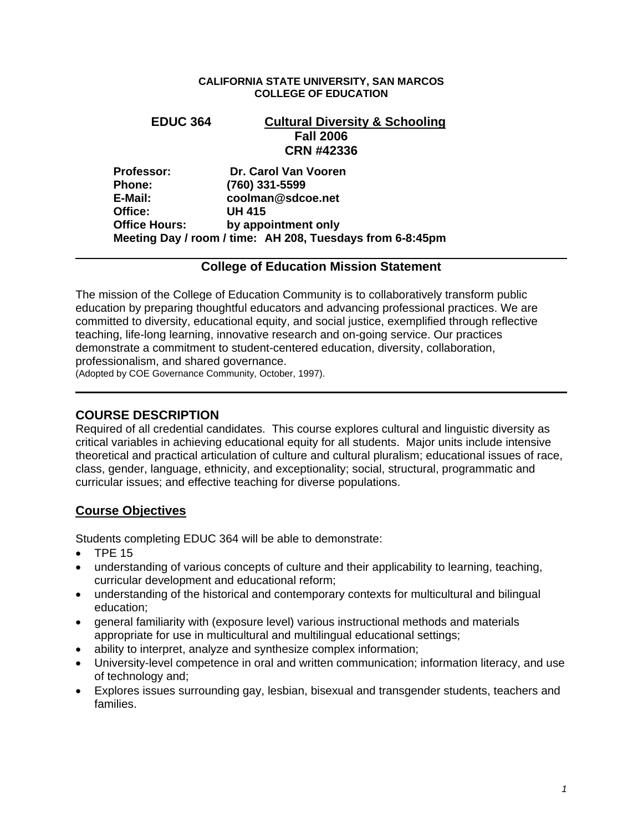#### **CALIFORNIA STATE UNIVERSITY, SAN MARCOS COLLEGE OF EDUCATION**

# **EDUC 364 Cultural Diversity & Schooling Fall 2006 CRN #42336 Professor: Dr. Carol Van Vooren Phone: (760) 331-5599 E-Mail: coolman@sdcoe.net Office: UH 415 Office Hours: by appointment only**

**Meeting Day / room / time: AH 208, Tuesdays from 6-8:45pm** 

## **College of Education Mission Statement**

The mission of the College of Education Community is to collaboratively transform public education by preparing thoughtful educators and advancing professional practices. We are committed to diversity, educational equity, and social justice, exemplified through reflective teaching, life-long learning, innovative research and on-going service. Our practices demonstrate a commitment to student-centered education, diversity, collaboration, professionalism, and shared governance.

(Adopted by COE Governance Community, October, 1997).

## **COURSE DESCRIPTION**

Required of all credential candidates. This course explores cultural and linguistic diversity as critical variables in achieving educational equity for all students. Major units include intensive theoretical and practical articulation of culture and cultural pluralism; educational issues of race, class, gender, language, ethnicity, and exceptionality; social, structural, programmatic and curricular issues; and effective teaching for diverse populations.

## **Course Objectives**

Students completing EDUC 364 will be able to demonstrate:

• TPE 15

- understanding of various concepts of culture and their applicability to learning, teaching, curricular development and educational reform;
- understanding of the historical and contemporary contexts for multicultural and bilingual education;
- general familiarity with (exposure level) various instructional methods and materials appropriate for use in multicultural and multilingual educational settings;
- ability to interpret, analyze and synthesize complex information;
- University-level competence in oral and written communication; information literacy, and use of technology and;
- Explores issues surrounding gay, lesbian, bisexual and transgender students, teachers and families.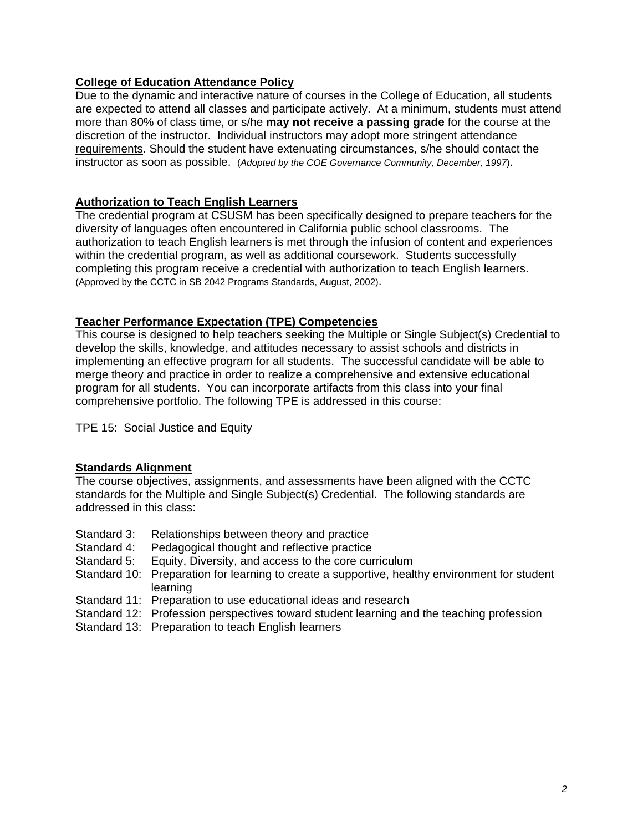## **College of Education Attendance Policy**

Due to the dynamic and interactive nature of courses in the College of Education, all students are expected to attend all classes and participate actively. At a minimum, students must attend more than 80% of class time, or s/he **may not receive a passing grade** for the course at the discretion of the instructor. Individual instructors may adopt more stringent attendance requirements. Should the student have extenuating circumstances, s/he should contact the instructor as soon as possible. (*Adopted by the COE Governance Community, December, 1997*).

## **Authorization to Teach English Learners**

The credential program at CSUSM has been specifically designed to prepare teachers for the diversity of languages often encountered in California public school classrooms. The authorization to teach English learners is met through the infusion of content and experiences within the credential program, as well as additional coursework. Students successfully completing this program receive a credential with authorization to teach English learners. (Approved by the CCTC in SB 2042 Programs Standards, August, 2002).

### **Teacher Performance Expectation (TPE) Competencies**

This course is designed to help teachers seeking the Multiple or Single Subject(s) Credential to develop the skills, knowledge, and attitudes necessary to assist schools and districts in implementing an effective program for all students. The successful candidate will be able to merge theory and practice in order to realize a comprehensive and extensive educational program for all students. You can incorporate artifacts from this class into your final comprehensive portfolio. The following TPE is addressed in this course:

TPE 15: Social Justice and Equity

## **Standards Alignment**

The course objectives, assignments, and assessments have been aligned with the CCTC standards for the Multiple and Single Subject(s) Credential. The following standards are addressed in this class:

- Standard 3: Relationships between theory and practice
- Standard 4: Pedagogical thought and reflective practice
- Standard 5: Equity, Diversity, and access to the core curriculum
- Standard 10: Preparation for learning to create a supportive, healthy environment for student learning
- Standard 11: Preparation to use educational ideas and research
- Standard 12: Profession perspectives toward student learning and the teaching profession
- Standard 13: Preparation to teach English learners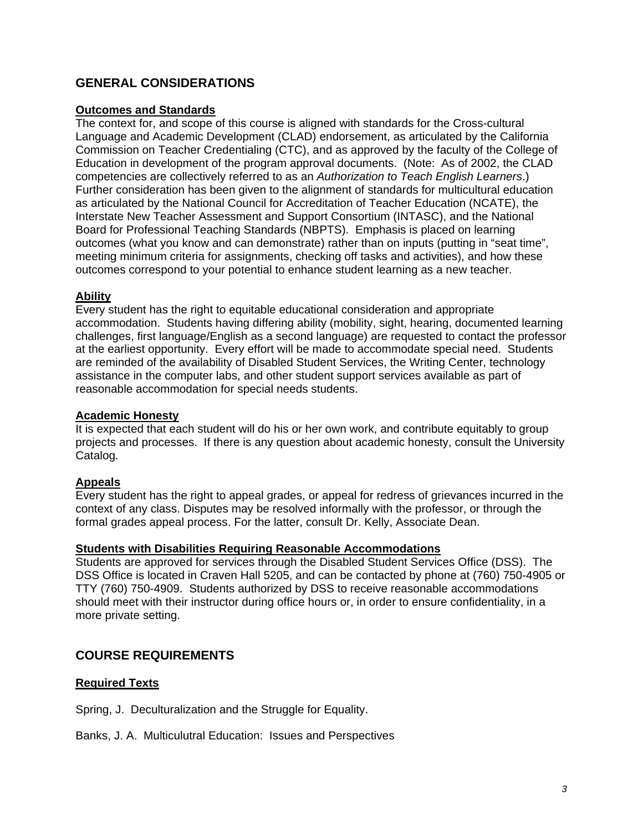# **GENERAL CONSIDERATIONS**

## **Outcomes and Standards**

The context for, and scope of this course is aligned with standards for the Cross-cultural Language and Academic Development (CLAD) endorsement, as articulated by the California Commission on Teacher Credentialing (CTC), and as approved by the faculty of the College of Education in development of the program approval documents. (Note: As of 2002, the CLAD competencies are collectively referred to as an *Authorization to Teach English Learners*.) Further consideration has been given to the alignment of standards for multicultural education as articulated by the National Council for Accreditation of Teacher Education (NCATE), the Interstate New Teacher Assessment and Support Consortium (INTASC), and the National Board for Professional Teaching Standards (NBPTS). Emphasis is placed on learning outcomes (what you know and can demonstrate) rather than on inputs (putting in "seat time", meeting minimum criteria for assignments, checking off tasks and activities), and how these outcomes correspond to your potential to enhance student learning as a new teacher.

### **Ability**

Every student has the right to equitable educational consideration and appropriate accommodation. Students having differing ability (mobility, sight, hearing, documented learning challenges, first language/English as a second language) are requested to contact the professor at the earliest opportunity. Every effort will be made to accommodate special need. Students are reminded of the availability of Disabled Student Services, the Writing Center, technology assistance in the computer labs, and other student support services available as part of reasonable accommodation for special needs students.

### **Academic Honesty**

It is expected that each student will do his or her own work, and contribute equitably to group projects and processes. If there is any question about academic honesty, consult the University Catalog.

## **Appeals**

Every student has the right to appeal grades, or appeal for redress of grievances incurred in the context of any class. Disputes may be resolved informally with the professor, or through the formal grades appeal process. For the latter, consult Dr. Kelly, Associate Dean.

#### **Students with Disabilities Requiring Reasonable Accommodations**

Students are approved for services through the Disabled Student Services Office (DSS). The DSS Office is located in Craven Hall 5205, and can be contacted by phone at (760) 750-4905 or TTY (760) 750-4909. Students authorized by DSS to receive reasonable accommodations should meet with their instructor during office hours or, in order to ensure confidentiality, in a more private setting.

## **COURSE REQUIREMENTS**

#### **Required Texts**

Spring, J. Deculturalization and the Struggle for Equality.

#### Banks, J. A. Multiculutral Education: Issues and Perspectives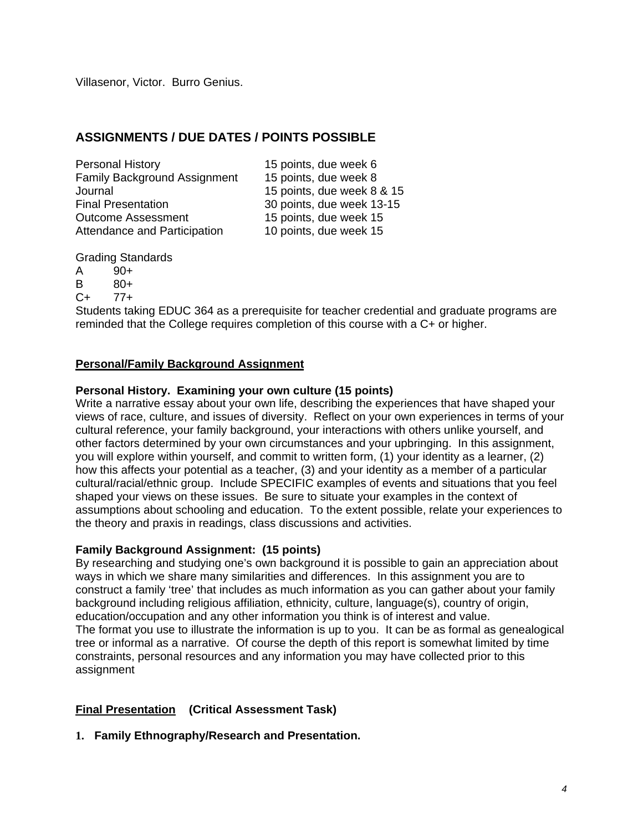Villasenor, Victor. Burro Genius.

# **ASSIGNMENTS / DUE DATES / POINTS POSSIBLE**

Personal History 15 points, due week 6 Family Background Assignment 15 points, due week 8 Journal 15 points, due week 8 & 15 Final Presentation 30 points, due week 13-15 Outcome Assessment 15 points, due week 15 Attendance and Participation 10 points, due week 15

Grading Standards

A 90+

B 80+  $C_{+}$  77+

Students taking EDUC 364 as a prerequisite for teacher credential and graduate programs are reminded that the College requires completion of this course with a C+ or higher.

## **Personal/Family Background Assignment**

## **Personal History. Examining your own culture (15 points)**

Write a narrative essay about your own life, describing the experiences that have shaped your views of race, culture, and issues of diversity. Reflect on your own experiences in terms of your cultural reference, your family background, your interactions with others unlike yourself, and other factors determined by your own circumstances and your upbringing. In this assignment, you will explore within yourself, and commit to written form, (1) your identity as a learner, (2) how this affects your potential as a teacher, (3) and your identity as a member of a particular cultural/racial/ethnic group. Include SPECIFIC examples of events and situations that you feel shaped your views on these issues. Be sure to situate your examples in the context of assumptions about schooling and education. To the extent possible, relate your experiences to the theory and praxis in readings, class discussions and activities.

## **Family Background Assignment: (15 points)**

By researching and studying one's own background it is possible to gain an appreciation about ways in which we share many similarities and differences. In this assignment you are to construct a family 'tree' that includes as much information as you can gather about your family background including religious affiliation, ethnicity, culture, language(s), country of origin, education/occupation and any other information you think is of interest and value. The format you use to illustrate the information is up to you. It can be as formal as genealogical tree or informal as a narrative. Of course the depth of this report is somewhat limited by time constraints, personal resources and any information you may have collected prior to this assignment

## **Final Presentation (Critical Assessment Task)**

**1. Family Ethnography/Research and Presentation.**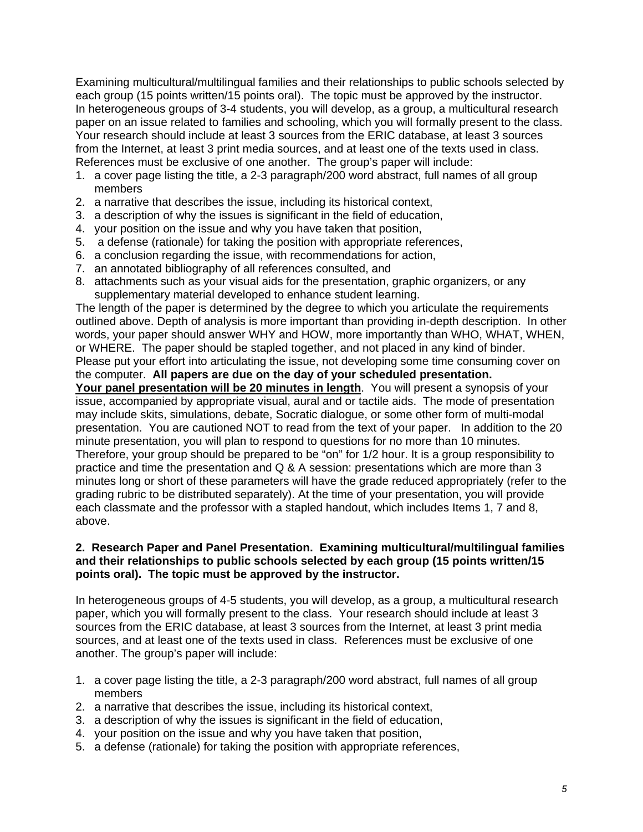Examining multicultural/multilingual families and their relationships to public schools selected by each group (15 points written/15 points oral). The topic must be approved by the instructor. In heterogeneous groups of 3-4 students, you will develop, as a group, a multicultural research paper on an issue related to families and schooling, which you will formally present to the class. Your research should include at least 3 sources from the ERIC database, at least 3 sources from the Internet, at least 3 print media sources, and at least one of the texts used in class. References must be exclusive of one another. The group's paper will include:

- 1. a cover page listing the title, a 2-3 paragraph/200 word abstract, full names of all group members
- 2. a narrative that describes the issue, including its historical context,
- 3. a description of why the issues is significant in the field of education,
- 4. your position on the issue and why you have taken that position,
- 5. a defense (rationale) for taking the position with appropriate references,
- 6. a conclusion regarding the issue, with recommendations for action,
- 7. an annotated bibliography of all references consulted, and
- 8. attachments such as your visual aids for the presentation, graphic organizers, or any supplementary material developed to enhance student learning.

The length of the paper is determined by the degree to which you articulate the requirements outlined above. Depth of analysis is more important than providing in-depth description. In other words, your paper should answer WHY and HOW, more importantly than WHO, WHAT, WHEN, or WHERE. The paper should be stapled together, and not placed in any kind of binder. Please put your effort into articulating the issue, not developing some time consuming cover on the computer. **All papers are due on the day of your scheduled presentation. Your panel presentation will be 20 minutes in length**. You will present a synopsis of your issue, accompanied by appropriate visual, aural and or tactile aids. The mode of presentation may include skits, simulations, debate, Socratic dialogue, or some other form of multi-modal presentation. You are cautioned NOT to read from the text of your paper. In addition to the 20 minute presentation, you will plan to respond to questions for no more than 10 minutes.

Therefore, your group should be prepared to be "on" for 1/2 hour. It is a group responsibility to practice and time the presentation and Q & A session: presentations which are more than 3 minutes long or short of these parameters will have the grade reduced appropriately (refer to the grading rubric to be distributed separately). At the time of your presentation, you will provide each classmate and the professor with a stapled handout, which includes Items 1, 7 and 8, above.

## **2. Research Paper and Panel Presentation. Examining multicultural/multilingual families and their relationships to public schools selected by each group (15 points written/15 points oral). The topic must be approved by the instructor.**

In heterogeneous groups of 4-5 students, you will develop, as a group, a multicultural research paper, which you will formally present to the class. Your research should include at least 3 sources from the ERIC database, at least 3 sources from the Internet, at least 3 print media sources, and at least one of the texts used in class. References must be exclusive of one another. The group's paper will include:

- 1. a cover page listing the title, a 2-3 paragraph/200 word abstract, full names of all group members
- 2. a narrative that describes the issue, including its historical context,
- 3. a description of why the issues is significant in the field of education,
- 4. your position on the issue and why you have taken that position,
- 5. a defense (rationale) for taking the position with appropriate references,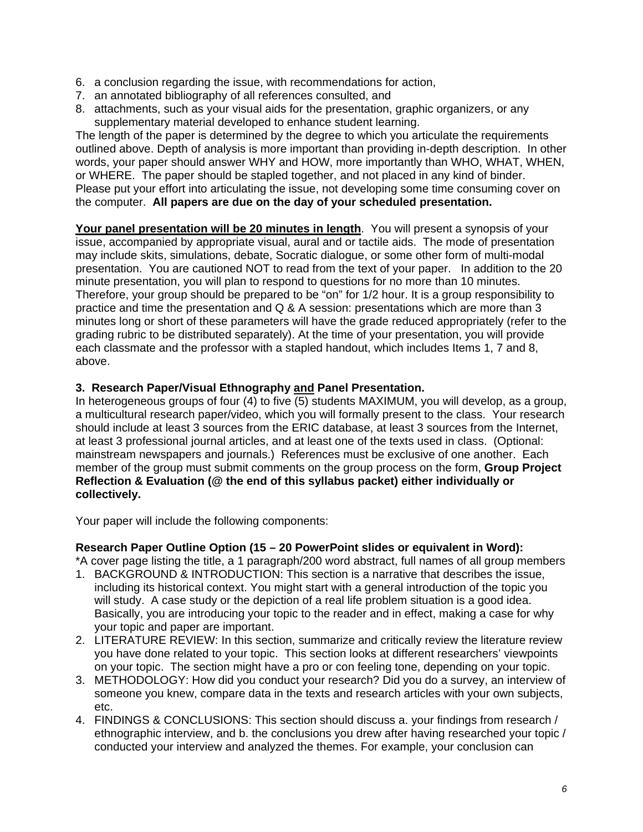- 6. a conclusion regarding the issue, with recommendations for action,
- 7. an annotated bibliography of all references consulted, and
- 8. attachments, such as your visual aids for the presentation, graphic organizers, or any supplementary material developed to enhance student learning.

The length of the paper is determined by the degree to which you articulate the requirements outlined above. Depth of analysis is more important than providing in-depth description. In other words, your paper should answer WHY and HOW, more importantly than WHO, WHAT, WHEN, or WHERE. The paper should be stapled together, and not placed in any kind of binder. Please put your effort into articulating the issue, not developing some time consuming cover on the computer. **All papers are due on the day of your scheduled presentation.** 

Your panel presentation will be 20 minutes in length. You will present a synopsis of your issue, accompanied by appropriate visual, aural and or tactile aids. The mode of presentation may include skits, simulations, debate, Socratic dialogue, or some other form of multi-modal presentation. You are cautioned NOT to read from the text of your paper. In addition to the 20 minute presentation, you will plan to respond to questions for no more than 10 minutes. Therefore, your group should be prepared to be "on" for 1/2 hour. It is a group responsibility to practice and time the presentation and Q & A session: presentations which are more than 3 minutes long or short of these parameters will have the grade reduced appropriately (refer to the grading rubric to be distributed separately). At the time of your presentation, you will provide each classmate and the professor with a stapled handout, which includes Items 1, 7 and 8, above.

## **3. Research Paper/Visual Ethnography and Panel Presentation.**

In heterogeneous groups of four (4) to five (5) students MAXIMUM, you will develop, as a group, a multicultural research paper/video, which you will formally present to the class. Your research should include at least 3 sources from the ERIC database, at least 3 sources from the Internet, at least 3 professional journal articles, and at least one of the texts used in class. (Optional: mainstream newspapers and journals.) References must be exclusive of one another. Each member of the group must submit comments on the group process on the form, **Group Project Reflection & Evaluation (@ the end of this syllabus packet) either individually or collectively.** 

Your paper will include the following components:

#### **Research Paper Outline Option (15 – 20 PowerPoint slides or equivalent in Word):**

\*A cover page listing the title, a 1 paragraph/200 word abstract, full names of all group members

- 1. BACKGROUND & INTRODUCTION: This section is a narrative that describes the issue, including its historical context. You might start with a general introduction of the topic you will study. A case study or the depiction of a real life problem situation is a good idea. Basically, you are introducing your topic to the reader and in effect, making a case for why your topic and paper are important.
- 2. LITERATURE REVIEW: In this section, summarize and critically review the literature review you have done related to your topic. This section looks at different researchers' viewpoints on your topic. The section might have a pro or con feeling tone, depending on your topic.
- 3. METHODOLOGY: How did you conduct your research? Did you do a survey, an interview of someone you knew, compare data in the texts and research articles with your own subjects, etc.
- 4. FINDINGS & CONCLUSIONS: This section should discuss a. your findings from research / ethnographic interview, and b. the conclusions you drew after having researched your topic / conducted your interview and analyzed the themes. For example, your conclusion can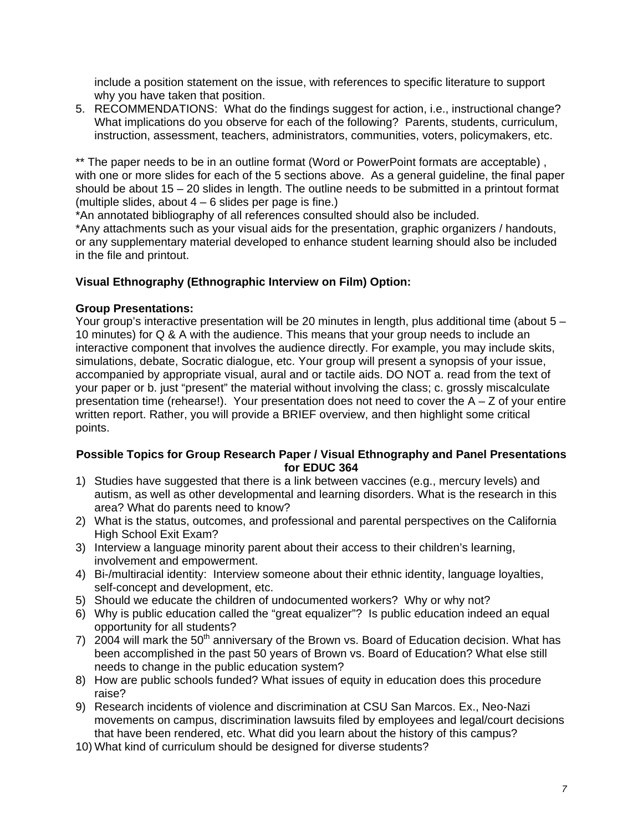include a position statement on the issue, with references to specific literature to support why you have taken that position.

5. RECOMMENDATIONS: What do the findings suggest for action, i.e., instructional change? What implications do you observe for each of the following? Parents, students, curriculum, instruction, assessment, teachers, administrators, communities, voters, policymakers, etc.

\*\* The paper needs to be in an outline format (Word or PowerPoint formats are acceptable), with one or more slides for each of the 5 sections above. As a general guideline, the final paper should be about 15 – 20 slides in length. The outline needs to be submitted in a printout format (multiple slides, about  $4 - 6$  slides per page is fine.)

\*An annotated bibliography of all references consulted should also be included.

\*Any attachments such as your visual aids for the presentation, graphic organizers / handouts, or any supplementary material developed to enhance student learning should also be included in the file and printout.

## **Visual Ethnography (Ethnographic Interview on Film) Option:**

## **Group Presentations:**

Your group's interactive presentation will be 20 minutes in length, plus additional time (about  $5 -$ 10 minutes) for Q & A with the audience. This means that your group needs to include an interactive component that involves the audience directly. For example, you may include skits, simulations, debate, Socratic dialogue, etc. Your group will present a synopsis of your issue, accompanied by appropriate visual, aural and or tactile aids. DO NOT a. read from the text of your paper or b. just "present" the material without involving the class; c. grossly miscalculate presentation time (rehearse!). Your presentation does not need to cover the  $A - Z$  of your entire written report. Rather, you will provide a BRIEF overview, and then highlight some critical points.

## **Possible Topics for Group Research Paper / Visual Ethnography and Panel Presentations for EDUC 364**

- 1) Studies have suggested that there is a link between vaccines (e.g., mercury levels) and autism, as well as other developmental and learning disorders. What is the research in this area? What do parents need to know?
- 2) What is the status, outcomes, and professional and parental perspectives on the California High School Exit Exam?
- 3) Interview a language minority parent about their access to their children's learning, involvement and empowerment.
- 4) Bi-/multiracial identity: Interview someone about their ethnic identity, language loyalties, self-concept and development, etc.
- 5) Should we educate the children of undocumented workers? Why or why not?
- 6) Why is public education called the "great equalizer"? Is public education indeed an equal opportunity for all students?
- 7) 2004 will mark the  $50<sup>th</sup>$  anniversary of the Brown vs. Board of Education decision. What has been accomplished in the past 50 years of Brown vs. Board of Education? What else still needs to change in the public education system?
- 8) How are public schools funded? What issues of equity in education does this procedure raise?
- 9) Research incidents of violence and discrimination at CSU San Marcos. Ex., Neo-Nazi movements on campus, discrimination lawsuits filed by employees and legal/court decisions that have been rendered, etc. What did you learn about the history of this campus?
- 10) What kind of curriculum should be designed for diverse students?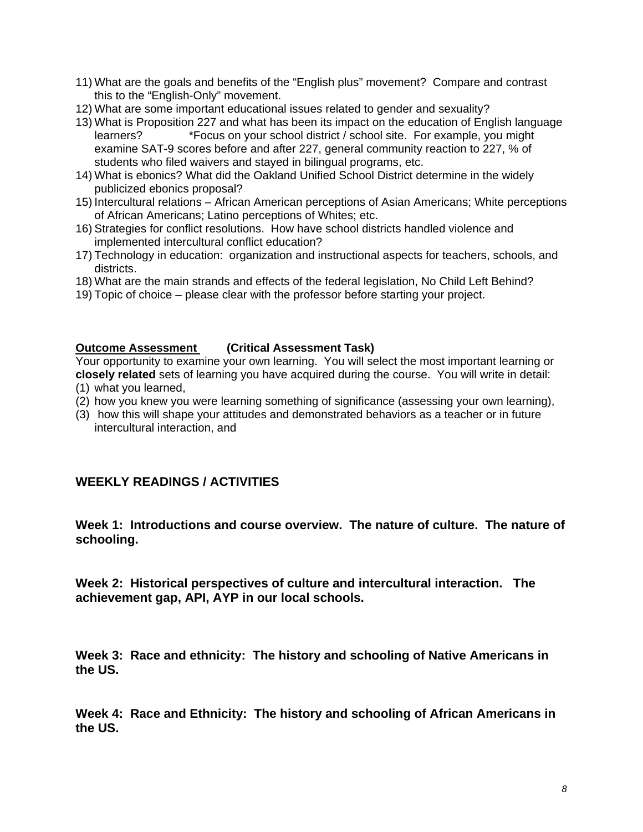- 11) What are the goals and benefits of the "English plus" movement? Compare and contrast this to the "English-Only" movement.
- 12) What are some important educational issues related to gender and sexuality?
- 13) What is Proposition 227 and what has been its impact on the education of English language learners? \*Focus on your school district / school site. For example, you might examine SAT-9 scores before and after 227, general community reaction to 227, % of students who filed waivers and stayed in bilingual programs, etc.
- 14) What is ebonics? What did the Oakland Unified School District determine in the widely publicized ebonics proposal?
- 15) Intercultural relations African American perceptions of Asian Americans; White perceptions of African Americans; Latino perceptions of Whites; etc.
- 16) Strategies for conflict resolutions. How have school districts handled violence and implemented intercultural conflict education?
- 17) Technology in education: organization and instructional aspects for teachers, schools, and districts.
- 18) What are the main strands and effects of the federal legislation, No Child Left Behind?
- 19) Topic of choice please clear with the professor before starting your project.

### **Outcome Assessment (Critical Assessment Task)**

Your opportunity to examine your own learning. You will select the most important learning or **closely related** sets of learning you have acquired during the course. You will write in detail:

- (1) what you learned,
- (2) how you knew you were learning something of significance (assessing your own learning),
- (3) how this will shape your attitudes and demonstrated behaviors as a teacher or in future intercultural interaction, and

# **WEEKLY READINGS / ACTIVITIES**

**Week 1: Introductions and course overview. The nature of culture. The nature of schooling.** 

**Week 2: Historical perspectives of culture and intercultural interaction. The achievement gap, API, AYP in our local schools.** 

**Week 3: Race and ethnicity: The history and schooling of Native Americans in the US.** 

**Week 4: Race and Ethnicity: The history and schooling of African Americans in the US.**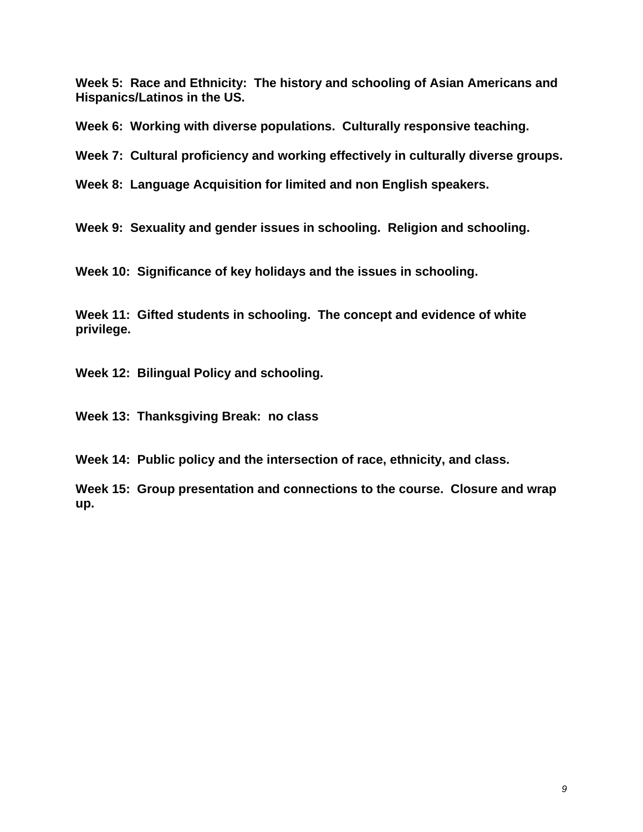**Week 5: Race and Ethnicity: The history and schooling of Asian Americans and Hispanics/Latinos in the US.** 

**Week 6: Working with diverse populations. Culturally responsive teaching.** 

**Week 7: Cultural proficiency and working effectively in culturally diverse groups.** 

**Week 8: Language Acquisition for limited and non English speakers.** 

**Week 9: Sexuality and gender issues in schooling. Religion and schooling.** 

**Week 10: Significance of key holidays and the issues in schooling.** 

**Week 11: Gifted students in schooling. The concept and evidence of white privilege.** 

**Week 12: Bilingual Policy and schooling.** 

**Week 13: Thanksgiving Break: no class** 

**Week 14: Public policy and the intersection of race, ethnicity, and class.** 

**Week 15: Group presentation and connections to the course. Closure and wrap up.**